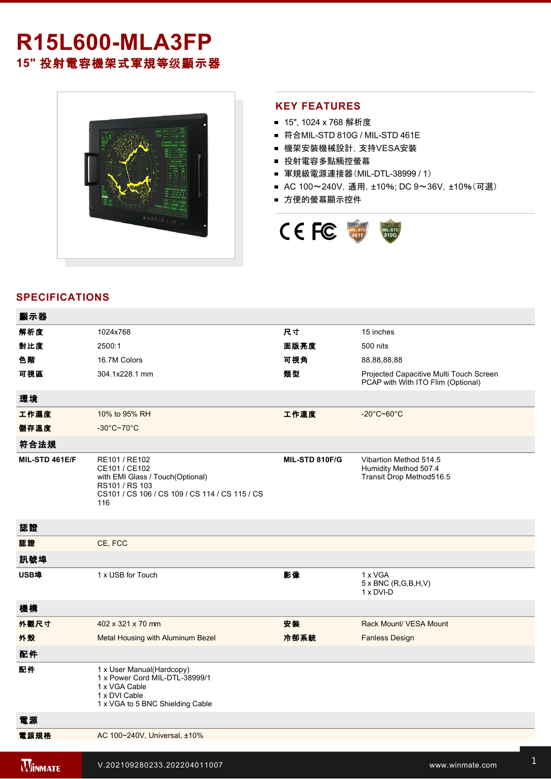# **R15L600-MLA3FP 15"** 投射電容機架式軍規等级顯示器



## **KEY FEATURES**

- 15", 1024 x 768 解析度
- 符合MIL-STD 810G / MIL-STD 461E
- 機架安裝機械設計, 支持VESA安裝
- 投射電容多點觸控螢幕
- 軍規級電源連接器(MIL-DTL-38999 / 1)
- AC 100~240V, 通用, ±10%; DC 9~36V, ±10%(可選)
- 方便的螢幕顯示控件



# **SPECIFICATIONS**

**2 key: 2 key: 2 key: 2 key: 2 key: 2 key: 2 key: 2 key: 2 key: 2 key: 2 key: 2 key: 2 key:** 

| 顯示器            |                                                                                                                                               |                |                                                                               |
|----------------|-----------------------------------------------------------------------------------------------------------------------------------------------|----------------|-------------------------------------------------------------------------------|
| 解析度            | 1024x768                                                                                                                                      | 尺寸             | 15 inches                                                                     |
| 對比度            | 2500:1                                                                                                                                        | 面版亮度           | 500 nits                                                                      |
| 色階             | 16.7M Colors                                                                                                                                  | 可視角            | 88,88,88,88                                                                   |
| 可視區            | 304.1x228.1 mm                                                                                                                                | 類型             | Projected Capacitive Multi Touch Screen<br>PCAP with With ITO Flim (Optional) |
| 環境             |                                                                                                                                               |                |                                                                               |
| 工作濕度           | 10% to 95% RH                                                                                                                                 | 工作溫度           | $-20^{\circ}$ C~60 $^{\circ}$ C                                               |
| 儲存溫度           | $-30^{\circ}$ C~70 $^{\circ}$ C                                                                                                               |                |                                                                               |
| 符合法規           |                                                                                                                                               |                |                                                                               |
| MIL-STD 461E/F | RE101 / RE102<br>CE101 / CE102<br>with EMI Glass / Touch(Optional)<br>RS101 / RS 103<br>CS101 / CS 106 / CS 109 / CS 114 / CS 115 / CS<br>116 | MIL-STD 810F/G | Vibartion Method 514.5<br>Humidity Method 507.4<br>Transit Drop Method516.5   |
| 認證             |                                                                                                                                               |                |                                                                               |
| 認證             | CE, FCC                                                                                                                                       |                |                                                                               |
| 訊號埠            |                                                                                                                                               |                |                                                                               |
| USB埠           | 1 x USB for Touch                                                                                                                             | 影像             | 1 x VGA<br>$5 \times BNC$ (R,G,B,H,V)<br>1 x DVI-D                            |
| 機構             |                                                                                                                                               |                |                                                                               |
| 外觀尺寸           | 402 x 321 x 70 mm                                                                                                                             | 安裝             | Rack Mount/ VESA Mount                                                        |
| 外殼             | Metal Housing with Aluminum Bezel                                                                                                             | 冷卻系統           | <b>Fanless Design</b>                                                         |
| 配件             |                                                                                                                                               |                |                                                                               |
| 配件             | 1 x User Manual(Hardcopy)<br>1 x Power Cord MIL-DTL-38999/1<br>1 x VGA Cable<br>1 x DVI Cable<br>1 x VGA to 5 BNC Shielding Cable             |                |                                                                               |
| 電源             |                                                                                                                                               |                |                                                                               |
| 電源規格           | AC 100~240V, Universal, ±10%                                                                                                                  |                |                                                                               |
| <b>WINMATE</b> | V.202109280233.202204011007                                                                                                                   |                | www.winmate.com                                                               |